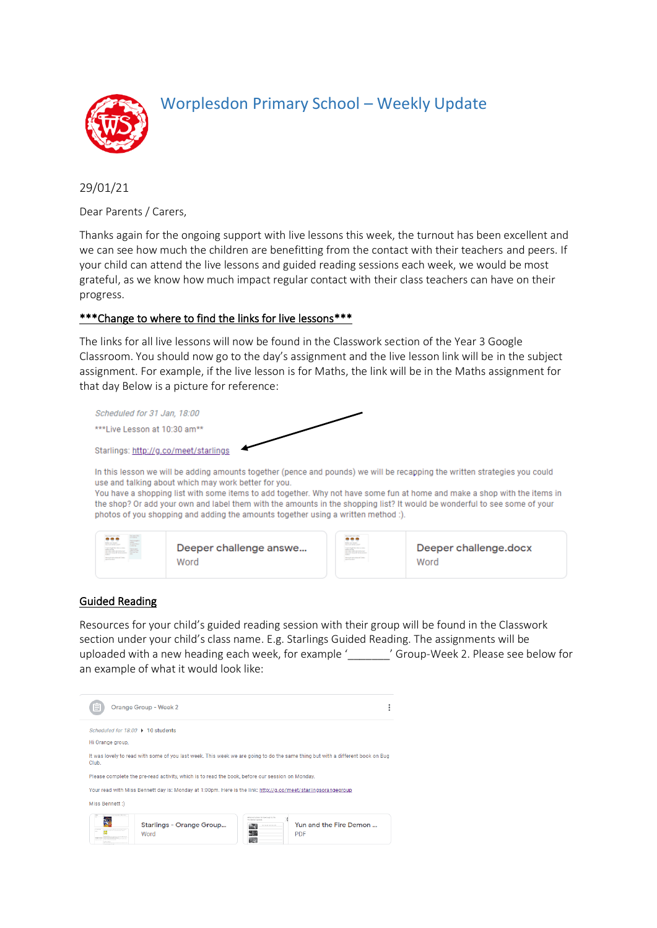

# Worplesdon Primary School – Weekly Update

29/01/21

Dear Parents / Carers,

Thanks again for the ongoing support with live lessons this week, the turnout has been excellent and we can see how much the children are benefitting from the contact with their teachers and peers. If your child can attend the live lessons and guided reading sessions each week, we would be most grateful, as we know how much impact regular contact with their class teachers can have on their progress.

# \*\*\*Change to where to find the links for live lessons\*\*\*

The links for all live lessons will now be found in the Classwork section of the Year 3 Google Classroom. You should now go to the day's assignment and the live lesson link will be in the subject assignment. For example, if the live lesson is for Maths, the link will be in the Maths assignment for that day Below is a picture for reference:

| Scheduled for 31 Jan, 18:00           |  |
|---------------------------------------|--|
| ***l ive Lesson at $10:30$ am**       |  |
| Starlings: http://g.co/meet/starlings |  |

In this lesson we will be adding amounts together (pence and pounds) we will be recapping the written strategies you could use and talking about which may work better for you.

You have a shopping list with some items to add together. Why not have some fun at home and make a shop with the items in the shop? Or add your own and label them with the amounts in the shopping list? It would be wonderful to see some of your photos of you shopping and adding the amounts together using a written method :).



#### Guided Reading

Resources for your child's guided reading session with their group will be found in the Classwork section under your child's class name. E.g. Starlings Guided Reading. The assignments will be uploaded with a new heading each week, for example '\_\_\_\_\_\_\_' Group-Week 2. Please see below for an example of what it would look like: